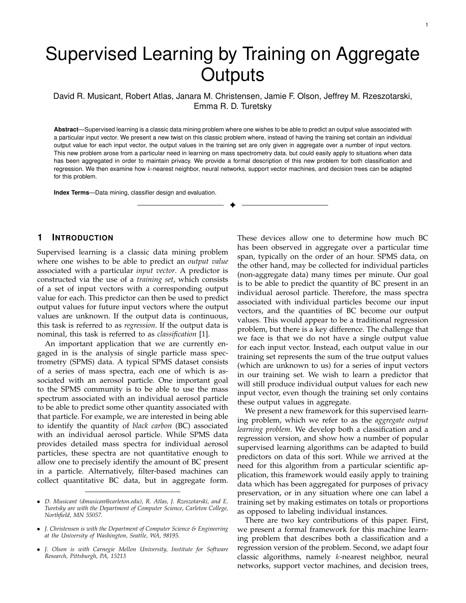# Supervised Learning by Training on Aggregate **Outputs**

David R. Musicant, Robert Atlas, Janara M. Christensen, Jamie F. Olson, Jeffrey M. Rzeszotarski, Emma R. D. Turetsky

**Abstract**—Supervised learning is a classic data mining problem where one wishes to be able to predict an output value associated with a particular input vector. We present a new twist on this classic problem where, instead of having the training set contain an individual output value for each input vector, the output values in the training set are only given in aggregate over a number of input vectors. This new problem arose from a particular need in learning on mass spectrometry data, but could easily apply to situations when data has been aggregated in order to maintain privacy. We provide a formal description of this new problem for both classification and regression. We then examine how k-nearest neighbor, neural networks, support vector machines, and decision trees can be adapted for this problem.

✦

**Index Terms**—Data mining, classifier design and evaluation.

# **1 INTRODUCTION**

Supervised learning is a classic data mining problem where one wishes to be able to predict an *output value* associated with a particular *input vector*. A predictor is constructed via the use of a *training set*, which consists of a set of input vectors with a corresponding output value for each. This predictor can then be used to predict output values for future input vectors where the output values are unknown. If the output data is continuous, this task is referred to as *regression*. If the output data is nominal, this task is referred to as *classification* [1].

An important application that we are currently engaged in is the analysis of single particle mass spectrometry (SPMS) data. A typical SPMS dataset consists of a series of mass spectra, each one of which is associated with an aerosol particle. One important goal to the SPMS community is to be able to use the mass spectrum associated with an individual aerosol particle to be able to predict some other quantity associated with that particle. For example, we are interested in being able to identify the quantity of *black carbon* (BC) associated with an individual aerosol particle. While SPMS data provides detailed mass spectra for individual aerosol particles, these spectra are not quantitative enough to allow one to precisely identify the amount of BC present in a particle. Alternatively, filter-based machines can collect quantitative BC data, but in aggregate form.

These devices allow one to determine how much BC has been observed in aggregate over a particular time span, typically on the order of an hour. SPMS data, on the other hand, may be collected for individual particles (non-aggregate data) many times per minute. Our goal is to be able to predict the quantity of BC present in an individual aerosol particle. Therefore, the mass spectra associated with individual particles become our input vectors, and the quantities of BC become our output values. This would appear to be a traditional regression problem, but there is a key difference. The challenge that we face is that we do not have a single output value for each input vector. Instead, each output value in our training set represents the sum of the true output values (which are unknown to us) for a series of input vectors in our training set. We wish to learn a predictor that will still produce individual output values for each new input vector, even though the training set only contains these output values in aggregate.

We present a new framework for this supervised learning problem, which we refer to as the *aggregate output learning problem*. We develop both a classification and a regression version, and show how a number of popular supervised learning algorithms can be adapted to build predictors on data of this sort. While we arrived at the need for this algorithm from a particular scientific application, this framework would easily apply to training data which has been aggregated for purposes of privacy preservation, or in any situation where one can label a training set by making estimates on totals or proportions as opposed to labeling individual instances.

There are two key contributions of this paper. First, we present a formal framework for this machine learning problem that describes both a classification and a regression version of the problem. Second, we adapt four classic algorithms, namely k-nearest neighbor, neural networks, support vector machines, and decision trees,

<sup>•</sup> *D. Musicant (dmusican@carleton.edu), R. Atlas, J. Rzeszotarski, and E. Turetsky are with the Department of Computer Science, Carleton College, Northfield, MN 55057.*

<sup>•</sup> *J. Christensen is with the Department of Computer Science & Engineering at the University of Washington, Seattle, WA, 98195.*

<sup>•</sup> *J. Olson is with Carnegie Mellon University, Institute for Software Research, Pittsburgh, PA, 15213*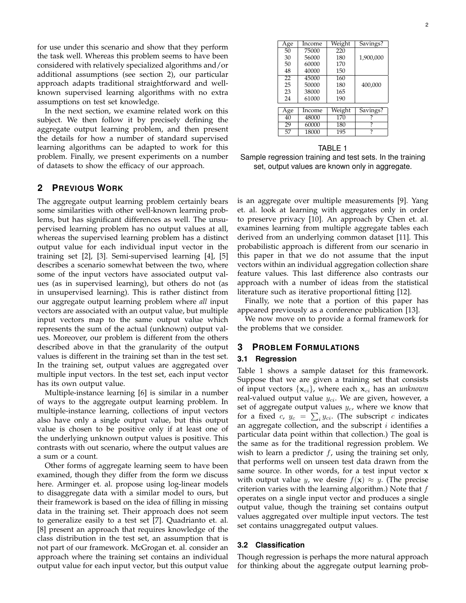for use under this scenario and show that they perform the task well. Whereas this problem seems to have been considered with relatively specialized algorithms and/or additional assumptions (see section 2), our particular approach adapts traditional straightforward and wellknown supervised learning algorithms with no extra assumptions on test set knowledge.

In the next section, we examine related work on this subject. We then follow it by precisely defining the aggregate output learning problem, and then present the details for how a number of standard supervised learning algorithms can be adapted to work for this problem. Finally, we present experiments on a number of datasets to show the efficacy of our approach.

## **2 PREVIOUS WORK**

The aggregate output learning problem certainly bears some similarities with other well-known learning problems, but has significant differences as well. The unsupervised learning problem has no output values at all, whereas the supervised learning problem has a distinct output value for each individual input vector in the training set [2], [3]. Semi-supervised learning [4], [5] describes a scenario somewhat between the two, where some of the input vectors have associated output values (as in supervised learning), but others do not (as in unsupervised learning). This is rather distinct from our aggregate output learning problem where *all* input vectors are associated with an output value, but multiple input vectors map to the same output value which represents the sum of the actual (unknown) output values. Moreover, our problem is different from the others described above in that the granularity of the output values is different in the training set than in the test set. In the training set, output values are aggregated over multiple input vectors. In the test set, each input vector has its own output value.

Multiple-instance learning [6] is similar in a number of ways to the aggregate output learning problem. In multiple-instance learning, collections of input vectors also have only a single output value, but this output value is chosen to be positive only if at least one of the underlying unknown output values is positive. This contrasts with out scenario, where the output values are a sum or a count.

Other forms of aggregate learning seem to have been examined, though they differ from the form we discuss here. Arminger et. al. propose using log-linear models to disaggregate data with a similar model to ours, but their framework is based on the idea of filling in missing data in the training set. Their approach does not seem to generalize easily to a test set [7]. Quadrianto et. al. [8] present an approach that requires knowledge of the class distribution in the test set, an assumption that is not part of our framework. McGrogan et. al. consider an approach where the training set contains an individual output value for each input vector, but this output value

| Income | Weight | Savings?  |
|--------|--------|-----------|
| 75000  | 220    |           |
| 56000  | 180    | 1,900,000 |
| 60000  | 170    |           |
| 40000  | 150    |           |
| 45000  | 160    |           |
| 50000  | 180    | 400,000   |
| 38000  | 165    |           |
| 61000  | 190    |           |
|        |        |           |
| Income | Weight | Savings?  |
| 48000  | 170    | 7         |
| 60000  | 180    | 7         |
| 18000  | 195    |           |
|        |        |           |

TABLE 1 Sample regression training and test sets. In the training set, output values are known only in aggregate.

is an aggregate over multiple measurements [9]. Yang et. al. look at learning with aggregates only in order to preserve privacy [10]. An approach by Chen et. al. examines learning from multiple aggregate tables each derived from an underlying common dataset [11]. This probabilistic approach is different from our scenario in this paper in that we do not assume that the input vectors within an individual aggregation collection share feature values. This last difference also contrasts our approach with a number of ideas from the statistical literature such as iterative proportional fitting [12].

Finally, we note that a portion of this paper has appeared previously as a conference publication [13].

We now move on to provide a formal framework for the problems that we consider.

## **3 PROBLEM FORMULATIONS**

#### **3.1 Regression**

Table 1 shows a sample dataset for this framework. Suppose that we are given a training set that consists of input vectors  $\{x_{ci}\}\$ , where each  $x_{ci}$  has an *unknown* real-valued output value  $y_{ci}$ . We are given, however, a set of aggregate output values  $y_c$ , where we know that for a fixed  $c$ ,  $y_c = \sum_i y_{ci}$ . (The subscript  $c$  indicates an aggregate collection, and the subscript  $i$  identifies a particular data point within that collection.) The goal is the same as for the traditional regression problem. We wish to learn a predictor  $f$ , using the training set only, that performs well on unseen test data drawn from the same source. In other words, for a test input vector x with output value y, we desire  $f(\mathbf{x}) \approx y$ . (The precise criterion varies with the learning algorithm.) Note that  $f$ operates on a single input vector and produces a single output value, though the training set contains output values aggregated over multiple input vectors. The test set contains unaggregated output values.

#### **3.2 Classification**

Though regression is perhaps the more natural approach for thinking about the aggregate output learning prob-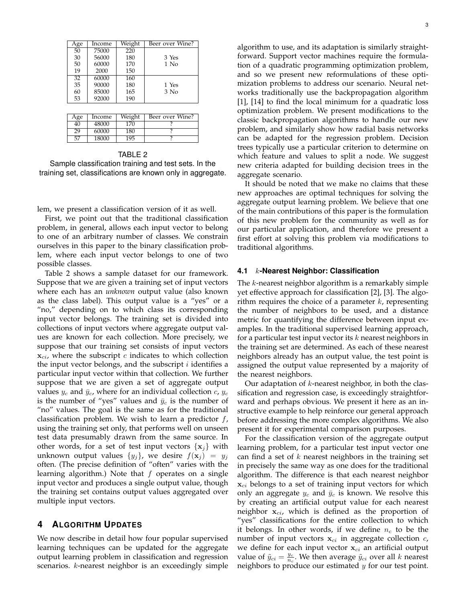| Age             | Income | Weight | Beer over Wine? |
|-----------------|--------|--------|-----------------|
| 50              | 75000  | 220    |                 |
| 30              | 56000  | 180    | 3 Yes           |
| 50              | 60000  | 170    | 1 No            |
| 19              | 2000   | 150    |                 |
| $\overline{32}$ | 60000  | 160    |                 |
| 35              | 90000  | 180    | 1 Yes           |
| 60              | 85000  | 165    | 3 No            |
| 53              | 92000  | 190    |                 |
|                 |        |        |                 |
| Age             | Income | Weight | Beer over Wine? |

| nge | пісопіе | <b>VVEILLIL</b> | beel over <i>write</i> : |
|-----|---------|-----------------|--------------------------|
| 40  | 48000   | $170-$          |                          |
| 29  | 60000   | 180             |                          |
| 57  | 18000   | 195             |                          |

TABLE 2 Sample classification training and test sets. In the training set, classifications are known only in aggregate.

lem, we present a classification version of it as well.

First, we point out that the traditional classification problem, in general, allows each input vector to belong to one of an arbitrary number of classes. We constrain ourselves in this paper to the binary classification problem, where each input vector belongs to one of two possible classes.

Table 2 shows a sample dataset for our framework. Suppose that we are given a training set of input vectors where each has an *unknown* output value (also known as the class label). This output value is a "yes" or a "no," depending on to which class its corresponding input vector belongs. The training set is divided into collections of input vectors where aggregate output values are known for each collection. More precisely, we suppose that our training set consists of input vectors  $\mathbf{x}_{ci}$ , where the subscript c indicates to which collection the input vector belongs, and the subscript  $i$  identifies a particular input vector within that collection. We further suppose that we are given a set of aggregate output values  $y_c$  and  $\bar{y}_c$ , where for an individual collection  $c$ ,  $y_c$ is the number of "yes" values and  $\bar{y}_c$  is the number of "no" values. The goal is the same as for the traditional classification problem. We wish to learn a predictor  $f$ , using the training set only, that performs well on unseen test data presumably drawn from the same source. In other words, for a set of test input vectors  $\{x_i\}$  with unknown output values  $\{y_i\}$ , we desire  $f(\mathbf{x}_i) = y_i$ often. (The precise definition of "often" varies with the learning algorithm.) Note that  $f$  operates on a single input vector and produces a single output value, though the training set contains output values aggregated over multiple input vectors.

## **4 ALGORITHM UPDATES**

We now describe in detail how four popular supervised learning techniques can be updated for the aggregate output learning problem in classification and regression scenarios. k-nearest neighbor is an exceedingly simple algorithm to use, and its adaptation is similarly straightforward. Support vector machines require the formulation of a quadratic programming optimization problem, and so we present new reformulations of these optimization problems to address our scenario. Neural networks traditionally use the backpropagation algorithm [1], [14] to find the local minimum for a quadratic loss optimization problem. We present modifications to the classic backpropagation algorithms to handle our new problem, and similarly show how radial basis networks can be adapted for the regression problem. Decision trees typically use a particular criterion to determine on which feature and values to split a node. We suggest new criteria adapted for building decision trees in the aggregate scenario.

It should be noted that we make no claims that these new approaches are optimal techniques for solving the aggregate output learning problem. We believe that one of the main contributions of this paper is the formulation of this new problem for the community as well as for our particular application, and therefore we present a first effort at solving this problem via modifications to traditional algorithms.

#### **4.1** k**-Nearest Neighbor: Classification**

The k-nearest neighbor algorithm is a remarkably simple yet effective approach for classification [2], [3]. The algorithm requires the choice of a parameter  $k$ , representing the number of neighbors to be used, and a distance metric for quantifying the difference between input examples. In the traditional supervised learning approach, for a particular test input vector its  $k$  nearest neighbors in the training set are determined. As each of these nearest neighbors already has an output value, the test point is assigned the output value represented by a majority of the nearest neighbors.

Our adaptation of  $k$ -nearest neighbor, in both the classification and regression case, is exceedingly straightforward and perhaps obvious. We present it here as an instructive example to help reinforce our general approach before addressing the more complex algorithms. We also present it for experimental comparison purposes.

For the classification version of the aggregate output learning problem, for a particular test input vector one can find a set of  $k$  nearest neighbors in the training set in precisely the same way as one does for the traditional algorithm. The difference is that each nearest neighbor  $\mathbf{x}_{ci}$  belongs to a set of training input vectors for which only an aggregate  $y_c$  and  $\bar{y}_c$  is known. We resolve this by creating an artificial output value for each nearest neighbor  $x_{ci}$ , which is defined as the proportion of "yes" classifications for the entire collection to which it belongs. In other words, if we define  $n_c$  to be the number of input vectors  $x_{ci}$  in aggregate collection  $c$ , we define for each input vector  $x_{ci}$  an artificial output value of  $\tilde{y}_{ci} = \frac{y_c}{n_c}$ . We then average  $\tilde{y}_{ci}$  over all k nearest neighbors to produce our estimated y for our test point.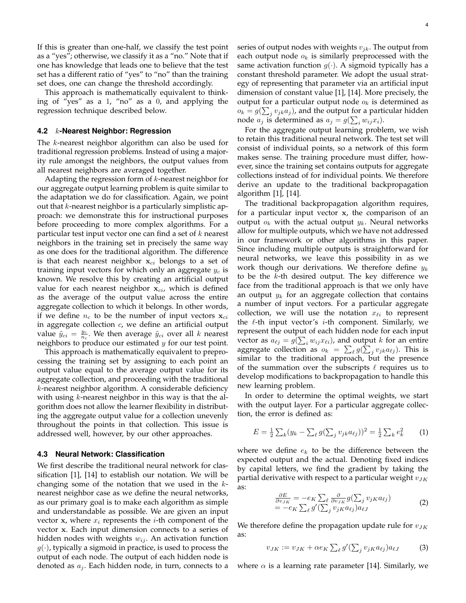If this is greater than one-half, we classify the test point as a "yes"; otherwise, we classify it as a "no." Note that if one has knowledge that leads one to believe that the test set has a different ratio of "yes" to "no" than the training set does, one can change the threshold accordingly.

This approach is mathematically equivalent to thinking of "yes" as a 1, "no" as a 0, and applying the regression technique described below.

#### **4.2** k**-Nearest Neighbor: Regression**

The k-nearest neighbor algorithm can also be used for traditional regression problems. Instead of using a majority rule amongst the neighbors, the output values from all nearest neighbors are averaged together.

Adapting the regression form of  $k$ -nearest neighbor for our aggregate output learning problem is quite similar to the adaptation we do for classification. Again, we point out that  $k$ -nearest neighbor is a particularly simplistic approach: we demonstrate this for instructional purposes before proceeding to more complex algorithms. For a particular test input vector one can find a set of  $k$  nearest neighbors in the training set in precisely the same way as one does for the traditional algorithm. The difference is that each nearest neighbor  $x_{ci}$  belongs to a set of training input vectors for which only an aggregate  $y_c$  is known. We resolve this by creating an artificial output value for each nearest neighbor  $x_{ci}$ , which is defined as the average of the output value across the entire aggregate collection to which it belongs. In other words, if we define  $n_c$  to be the number of input vectors  ${\bf x}_{ci}$ in aggregate collection  $c$ , we define an artificial output value  $\tilde{y}_{ci} = \frac{y_c}{n_c}$ . We then average  $\tilde{y}_{ci}$  over all k nearest neighbors to produce our estimated  $y$  for our test point.

This approach is mathematically equivalent to preprocessing the training set by assigning to each point an output value equal to the average output value for its aggregate collection, and proceeding with the traditional  $k$ -nearest neighbor algorithm. A considerable deficiency with using  $k$ -nearest neighbor in this way is that the algorithm does not allow the learner flexibility in distributing the aggregate output value for a collection unevenly throughout the points in that collection. This issue is addressed well, however, by our other approaches.

## **4.3 Neural Network: Classification**

We first describe the traditional neural network for classification [1], [14] to establish our notation. We will be changing some of the notation that we used in the  $k$ nearest neighbor case as we define the neural networks, as our primary goal is to make each algorithm as simple and understandable as possible. We are given an input vector x, where  $x_i$  represents the *i*-th component of the vector x. Each input dimension connects to a series of hidden nodes with weights  $w_{ij}$ . An activation function  $g(\cdot)$ , typically a sigmoid in practice, is used to process the output of each node. The output of each hidden node is denoted as  $a_i$ . Each hidden node, in turn, connects to a series of output nodes with weights  $v_{ik}$ . The output from each output node  $o_k$  is similarly preprocessed with the same activation function  $g(\cdot)$ . A sigmoid typically has a constant threshold parameter. We adopt the usual strategy of representing that parameter via an artificial input dimension of constant value [1], [14]. More precisely, the output for a particular output node  $o_k$  is determined as  $o_k = g(\sum_j v_{jk}a_j)$ , and the output for a particular hidden node  $a_j$  is determined as  $a_j = g(\sum_i w_{ij} x_i)$ .

For the aggregate output learning problem, we wish to retain this traditional neural network. The test set will consist of individual points, so a network of this form makes sense. The training procedure must differ, however, since the training set contains outputs for aggregate collections instead of for individual points. We therefore derive an update to the traditional backpropagation algorithm [1], [14].

The traditional backpropagation algorithm requires, for a particular input vector x, the comparison of an output  $o_k$  with the actual output  $y_k$ . Neural networks allow for multiple outputs, which we have not addressed in our framework or other algorithms in this paper. Since including multiple outputs is straightforward for neural networks, we leave this possibility in as we work though our derivations. We therefore define  $y_k$ to be the  $k$ -th desired output. The key difference we face from the traditional approach is that we only have an output  $y_k$  for an aggregate collection that contains a number of input vectors. For a particular aggregate collection, we will use the notation  $x_{\ell i}$  to represent the  $\ell$ -th input vector's  $i$ -th component. Similarly, we represent the output of each hidden node for each input vector as  $a_{\ell j} = g(\sum_i w_{ij} x_{\ell i})$ , and output k for an entire aggregate collection as  $o_k = \sum_{\ell} g(\sum_j v_{jk} a_{\ell j})$ . This is similar to the traditional approach, but the presence of the summation over the subscripts  $\ell$  requires us to develop modifications to backpropagation to handle this new learning problem.

In order to determine the optimal weights, we start with the output layer. For a particular aggregate collection, the error is defined as:

$$
E = \frac{1}{2} \sum_{k} (y_k - \sum_{\ell} g(\sum_{j} v_{jk} a_{\ell j}))^2 = \frac{1}{2} \sum_{k} e_k^2 \tag{1}
$$

where we define  $e_k$  to be the difference between the expected output and the actual. Denoting fixed indices by capital letters, we find the gradient by taking the partial derivative with respect to a particular weight  $v_{JK}$ as:

$$
\frac{\partial E}{\partial v_{JK}} = -e_K \sum_{\ell} \frac{\partial}{\partial v_{JK}} g(\sum_j v_{jK} a_{\ell j}) \n= -e_K \sum_{\ell} g'(\sum_j v_{jK} a_{\ell j}) a_{\ell J}
$$
\n(2)

We therefore define the propagation update rule for  $v_{JK}$ as:

$$
v_{JK} := v_{JK} + \alpha e_K \sum_{\ell} g'(\sum_j v_{jK} a_{\ell j}) a_{\ell J} \tag{3}
$$

where  $\alpha$  is a learning rate parameter [14]. Similarly, we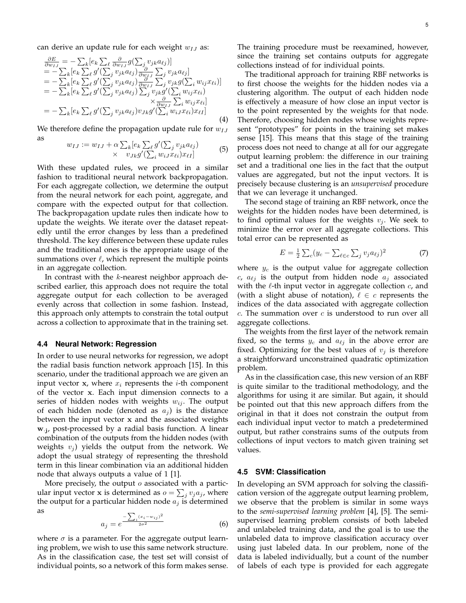can derive an update rule for each weight  $w_{IJ}$  as:

$$
\frac{\partial E}{\partial w_{IJ}} = -\sum_{k} \left[ e_{k} \sum_{\ell} \frac{\partial}{\partial w_{IJ}} g(\sum_{j} v_{jk} a_{\ell j}) \right] \n= -\sum_{k} \left[ e_{k} \sum_{\ell} g'(\sum_{j} v_{jk} a_{\ell j}) \frac{\partial}{\partial w_{IJ}} \sum_{j} v_{jk} a_{\ell j} \right] \n= -\sum_{k} \left[ e_{k} \sum_{\ell} g'(\sum_{j} v_{jk} a_{\ell j}) \frac{\partial}{\partial w_{IJ}} \sum_{j} v_{jk} g(\sum_{i} w_{ij} x_{\ell i}) \right] \n= -\sum_{k} \left[ e_{k} \sum_{\ell} g'(\sum_{j} v_{jk} a_{\ell j}) \frac{\partial}{\partial x_{j}} \frac{\partial}{\partial x_{j}} \sum_{i} w_{ij} x_{\ell i} \right] \n= -\sum_{k} \left[ e_{k} \sum_{\ell} g'(\sum_{j} v_{jk} a_{\ell j}) v_{JK} g'(\sum_{i} w_{i J} x_{\ell i}) x_{\ell I} \right] \n= -\sum_{k} \left[ e_{k} \sum_{\ell} g'(\sum_{j} v_{jk} a_{\ell j}) v_{JK} g'(\sum_{i} w_{i J} x_{\ell i}) x_{\ell I} \right]
$$
\n(4)

We therefore define the propagation update rule for  $w_{IJ}$ as

$$
w_{IJ} := w_{IJ} + \alpha \sum_k [e_k \sum_{\ell} g'(\sum_j v_{jk} a_{\ell j})
$$
  
 
$$
\times v_{Jk} g'(\sum_i w_{ij} x_{\ell i}) x_{\ell I}]
$$
 (5)

With these updated rules, we proceed in a similar fashion to traditional neural network backpropagation. For each aggregate collection, we determine the output from the neural network for each point, aggregate, and compare with the expected output for that collection. The backpropagation update rules then indicate how to update the weights. We iterate over the dataset repeatedly until the error changes by less than a predefined threshold. The key difference between these update rules and the traditional ones is the appropriate usage of the summations over  $\ell$ , which represent the multiple points in an aggregate collection.

In contrast with the  $k$ -nearest neighbor approach described earlier, this approach does not require the total aggregate output for each collection to be averaged evenly across that collection in some fashion. Instead, this approach only attempts to constrain the total output across a collection to approximate that in the training set.

#### **4.4 Neural Network: Regression**

In order to use neural networks for regression, we adopt the radial basis function network approach [15]. In this scenario, under the traditional approach we are given an input vector x, where  $x_i$  represents the *i*-th component of the vector x. Each input dimension connects to a series of hidden nodes with weights  $w_{ij}$ . The output of each hidden node (denoted as  $a_j$ ) is the distance between the input vector x and the associated weights w·<sup>j</sup> , post-processed by a radial basis function. A linear combination of the outputs from the hidden nodes (with weights  $v_j$ ) yields the output from the network. We adopt the usual strategy of representing the threshold term in this linear combination via an additional hidden node that always outputs a value of 1 [1].

More precisely, the output  $\sigma$  associated with a particular input vector **x** is determined as  $o = \sum_j v_j a_j$ , where the output for a particular hidden node  $a_j$  is determined as

$$
a_j = e^{\frac{-\sum_i (x_i - w_{ij})^2}{2\sigma^2}}
$$
 (6)

where  $\sigma$  is a parameter. For the aggregate output learning problem, we wish to use this same network structure. As in the classification case, the test set will consist of individual points, so a network of this form makes sense.

The training procedure must be reexamined, however, since the training set contains outputs for aggregate collections instead of for individual points.

The traditional approach for training RBF networks is to first choose the weights for the hidden nodes via a clustering algorithm. The output of each hidden node is effectively a measure of how close an input vector is to the point represented by the weights for that node. Therefore, choosing hidden nodes whose weights represent "prototypes" for points in the training set makes sense [15]. This means that this stage of the training process does not need to change at all for our aggregate output learning problem: the difference in our training set and a traditional one lies in the fact that the output values are aggregated, but not the input vectors. It is precisely because clustering is an *unsupervised* procedure that we can leverage it unchanged.

The second stage of training an RBF network, once the weights for the hidden nodes have been determined, is to find optimal values for the weights  $v_i$ . We seek to minimize the error over all aggregate collections. This total error can be represented as

$$
E = \frac{1}{2} \sum_{c} (y_c - \sum_{\ell \in c} \sum_{j} v_j a_{\ell j})^2
$$
 (7)

where  $y_c$  is the output value for aggregate collection  $c, a_{\ell i}$  is the output from hidden node  $a_i$  associated with the  $\ell$ -th input vector in aggregate collection  $c$ , and (with a slight abuse of notation),  $\ell \in c$  represents the indices of the data associated with aggregate collection  $c$ . The summation over  $c$  is understood to run over all aggregate collections.

The weights from the first layer of the network remain fixed, so the terms  $y_c$  and  $a_{\ell j}$  in the above error are fixed. Optimizing for the best values of  $v_j$  is therefore a straightforward unconstrained quadratic optimization problem.

As in the classification case, this new version of an RBF is quite similar to the traditional methodology, and the algorithms for using it are similar. But again, it should be pointed out that this new approach differs from the original in that it does not constrain the output from each individual input vector to match a predetermined output, but rather constrains sums of the outputs from collections of input vectors to match given training set values.

## **4.5 SVM: Classification**

In developing an SVM approach for solving the classification version of the aggregate output learning problem, we observe that the problem is similar in some ways to the *semi-supervised learning problem* [4], [5]. The semisupervised learning problem consists of both labeled and unlabeled training data, and the goal is to use the unlabeled data to improve classification accuracy over using just labeled data. In our problem, none of the data is labeled individually, but a count of the number of labels of each type is provided for each aggregate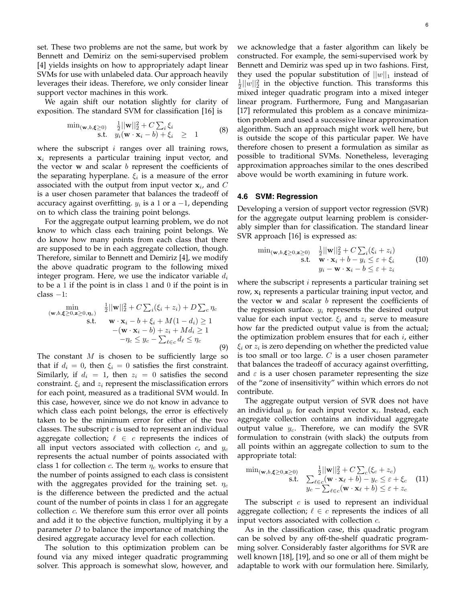set. These two problems are not the same, but work by Bennett and Demiriz on the semi-supervised problem [4] yields insights on how to appropriately adapt linear SVMs for use with unlabeled data. Our approach heavily leverages their ideas. Therefore, we only consider linear support vector machines in this work.

We again shift our notation slightly for clarity of exposition. The standard SVM for classification [16] is

$$
\min(\mathbf{w}, b, \xi \ge 0) \quad \frac{1}{2} ||\mathbf{w}||_2^2 + C \sum_i \xi_i
$$
  
s.t.  $y_i (\mathbf{w} \cdot \mathbf{x}_i - b) + \xi_i \ge 1$  (8)

where the subscript  $i$  ranges over all training rows,  $x_i$  represents a particular training input vector, and the vector  $w$  and scalar  $b$  represent the coefficients of the separating hyperplane.  $\xi_i$  is a measure of the error associated with the output from input vector  $\mathbf{x}_i$ , and  $C$ is a user chosen parameter that balances the tradeoff of accuracy against overfitting.  $y_i$  is a 1 or a  $-1$ , depending on to which class the training point belongs.

For the aggregate output learning problem, we do not know to which class each training point belongs. We do know how many points from each class that there are supposed to be in each aggregate collection, though. Therefore, similar to Bennett and Demiriz [4], we modify the above quadratic program to the following mixed integer program. Here, we use the indicator variable  $d_i$ to be a 1 if the point is in class 1 and 0 if the point is in class −1:

$$
\min_{\left(\mathbf{w},b,\boldsymbol{\xi}\geq0,\mathbf{z}\geq0,\boldsymbol{\eta}_c\right)}\quad\frac{1}{2}||\mathbf{w}||_2^2 + C\sum_i(\xi_i+z_i) + D\sum_c\eta_c
$$
\n
$$
\text{s.t.} \quad \mathbf{w}\cdot\mathbf{x}_i - b + \xi_i + M(1-d_i) \geq 1
$$
\n
$$
-(\mathbf{w}\cdot\mathbf{x}_i - b) + z_i + Md_i \geq 1
$$
\n
$$
-\eta_c \leq y_c - \sum_{\ell\in c}d_{\ell} \leq \eta_c
$$
\n(9)

The constant  $M$  is chosen to be sufficiently large so that if  $d_i = 0$ , then  $\xi_i = 0$  satisfies the first constraint. Similarly, if  $d_i = 1$ , then  $z_i = 0$  satisfies the second constraint.  $\xi_i$  and  $z_i$  represent the misclassification errors for each point, measured as a traditional SVM would. In this case, however, since we do not know in advance to which class each point belongs, the error is effectively taken to be the minimum error for either of the two classes. The subscript  $c$  is used to represent an individual aggregate collection;  $\ell \in c$  represents the indices of all input vectors associated with collection  $c$ , and  $y_c$ represents the actual number of points associated with class 1 for collection c. The term  $\eta_c$  works to ensure that the number of points assigned to each class is consistent with the aggregates provided for the training set.  $\eta_c$ is the difference between the predicted and the actual count of the number of points in class 1 for an aggregate collection  $c$ . We therefore sum this error over all points and add it to the objective function, multiplying it by a parameter  $D$  to balance the importance of matching the desired aggregate accuracy level for each collection.

The solution to this optimization problem can be found via any mixed integer quadratic programming solver. This approach is somewhat slow, however, and

we acknowledge that a faster algorithm can likely be constructed. For example, the semi-supervised work by Bennett and Demiriz was sped up in two fashions. First, they used the popular substitution of  $||w||_1$  instead of  $\frac{1}{2}||w||_2^2$  in the objective function. This transforms this mixed integer quadratic program into a mixed integer linear program. Furthermore, Fung and Mangasarian [17] reformulated this problem as a concave minimization problem and used a successive linear approximation algorithm. Such an approach might work well here, but is outside the scope of this particular paper. We have therefore chosen to present a formulation as similar as possible to traditional SVMs. Nonetheless, leveraging approximation approaches similar to the ones described above would be worth examining in future work.

## **4.6 SVM: Regression**

Developing a version of support vector regression (SVR) for the aggregate output learning problem is considerably simpler than for classification. The standard linear SVR approach [16] is expressed as:

$$
\min_{\{\mathbf{w}, b, \boldsymbol{\xi} \ge 0, \mathbf{z} \ge 0\}} \quad \frac{1}{2} ||\mathbf{w}||_2^2 + C \sum_i (\xi_i + z_i)
$$
\n
$$
\text{s.t.} \quad \mathbf{w} \cdot \mathbf{x}_i + b - y_i \le \varepsilon + \xi_i
$$
\n
$$
y_i - \mathbf{w} \cdot \mathbf{x}_i - b \le \varepsilon + z_i
$$
\n(10)

where the subscript  $i$  represents a particular training set row, x<sub>i</sub> represents a particular training input vector, and the vector  $w$  and scalar  $b$  represent the coefficients of the regression surface.  $y_i$  represents the desired output value for each input vector.  $\xi_i$  and  $z_i$  serve to measure how far the predicted output value is from the actual; the optimization problem ensures that for each  $i$ , either  $\xi_i$  or  $z_i$  is zero depending on whether the predicted value is too small or too large.  $C$  is a user chosen parameter that balances the tradeoff of accuracy against overfitting, and  $\varepsilon$  is a user chosen parameter representing the size of the "zone of insensitivity" within which errors do not contribute.

The aggregate output version of SVR does not have an individual  $y_i$  for each input vector  $\mathbf{x}_i$ . Instead, each aggregate collection contains an individual aggregate output value  $y_c$ . Therefore, we can modify the SVR formulation to constrain (with slack) the outputs from all points within an aggregate collection to sum to the appropriate total:

$$
\min(\mathbf{w}, b, \xi \ge 0, \mathbf{z} \ge 0) \quad \frac{1}{2} ||\mathbf{w}||_2^2 + C \sum_c (\xi_c + z_c)
$$
\n
$$
\text{s.t.} \quad \sum_{\ell \in c} (\mathbf{w} \cdot \mathbf{x}_{\ell} + b) - y_c \le \varepsilon + \xi_c \quad (11)
$$
\n
$$
y_c - \sum_{\ell \in c} (\mathbf{w} \cdot \mathbf{x}_{\ell} + b) \le \varepsilon + z_c
$$

The subscript  $c$  is used to represent an individual aggregate collection;  $\ell \in c$  represents the indices of all input vectors associated with collection  $c$ .

As in the classification case, this quadratic program can be solved by any off-the-shelf quadratic programming solver. Considerably faster algorithms for SVR are well known [18], [19], and so one or all of them might be adaptable to work with our formulation here. Similarly,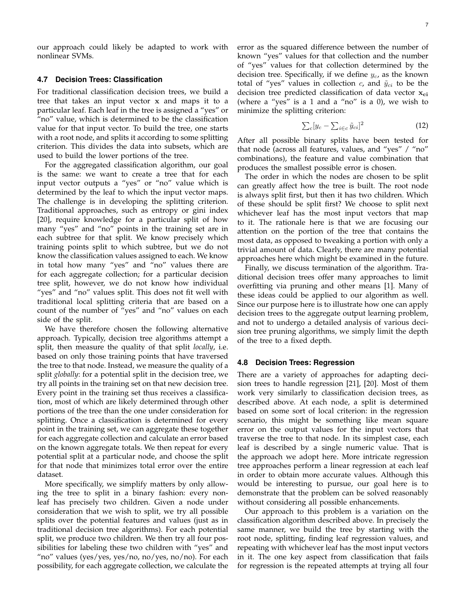our approach could likely be adapted to work with nonlinear SVMs.

## **4.7 Decision Trees: Classification**

For traditional classification decision trees, we build a tree that takes an input vector x and maps it to a particular leaf. Each leaf in the tree is assigned a "yes" or "no" value, which is determined to be the classification value for that input vector. To build the tree, one starts with a root node, and splits it according to some splitting criterion. This divides the data into subsets, which are used to build the lower portions of the tree.

For the aggregated classification algorithm, our goal is the same: we want to create a tree that for each input vector outputs a "yes" or "no" value which is determined by the leaf to which the input vector maps. The challenge is in developing the splitting criterion. Traditional approaches, such as entropy or gini index [20], require knowledge for a particular split of how many "yes" and "no" points in the training set are in each subtree for that split. We know precisely which training points split to which subtree, but we do not know the classification values assigned to each. We know in total how many "yes" and "no" values there are for each aggregate collection; for a particular decision tree split, however, we do not know how individual "yes" and "no" values split. This does not fit well with traditional local splitting criteria that are based on a count of the number of "yes" and "no" values on each side of the split.

We have therefore chosen the following alternative approach. Typically, decision tree algorithms attempt a split, then measure the quality of that split *locally*, i.e. based on only those training points that have traversed the tree to that node. Instead, we measure the quality of a split *globally*: for a potential split in the decision tree, we try all points in the training set on that new decision tree. Every point in the training set thus receives a classification, most of which are likely determined through other portions of the tree than the one under consideration for splitting. Once a classification is determined for every point in the training set, we can aggregate these together for each aggregate collection and calculate an error based on the known aggregate totals. We then repeat for every potential split at a particular node, and choose the split for that node that minimizes total error over the entire dataset.

More specifically, we simplify matters by only allowing the tree to split in a binary fashion: every nonleaf has precisely two children. Given a node under consideration that we wish to split, we try all possible splits over the potential features and values (just as in traditional decision tree algorithms). For each potential split, we produce two children. We then try all four possibilities for labeling these two children with "yes" and "no" values (yes/yes, yes/no, no/yes, no/no). For each possibility, for each aggregate collection, we calculate the

error as the squared difference between the number of known "yes" values for that collection and the number of "yes" values for that collection determined by the decision tree. Specifically, if we define  $y_c$ , as the known total of "yes" values in collection  $c$ , and  $\tilde{y}_{ci}$  to be the decision tree predicted classification of data vector  $x_{ci}$ (where a "yes" is a 1 and a "no" is a 0), we wish to minimize the splitting criterion:

$$
\sum_{c} [y_c - \sum_{i \in c} \tilde{y}_{ci}]^2 \tag{12}
$$

After all possible binary splits have been tested for that node (across all features, values, and "yes" / "no" combinations), the feature and value combination that produces the smallest possible error is chosen.

The order in which the nodes are chosen to be split can greatly affect how the tree is built. The root node is always split first, but then it has two children. Which of these should be split first? We choose to split next whichever leaf has the most input vectors that map to it. The rationale here is that we are focusing our attention on the portion of the tree that contains the most data, as opposed to tweaking a portion with only a trivial amount of data. Clearly, there are many potential approaches here which might be examined in the future.

Finally, we discuss termination of the algorithm. Traditional decision trees offer many approaches to limit overfitting via pruning and other means [1]. Many of these ideas could be applied to our algorithm as well. Since our purpose here is to illustrate how one can apply decision trees to the aggregate output learning problem, and not to undergo a detailed analysis of various decision tree pruning algorithms, we simply limit the depth of the tree to a fixed depth.

## **4.8 Decision Trees: Regression**

There are a variety of approaches for adapting decision trees to handle regression [21], [20]. Most of them work very similarly to classification decision trees, as described above. At each node, a split is determined based on some sort of local criterion: in the regression scenario, this might be something like mean square error on the output values for the input vectors that traverse the tree to that node. In its simplest case, each leaf is described by a single numeric value. That is the approach we adopt here. More intricate regression tree approaches perform a linear regression at each leaf in order to obtain more accurate values. Although this would be interesting to pursue, our goal here is to demonstrate that the problem can be solved reasonably without considering all possible enhancements.

Our approach to this problem is a variation on the classification algorithm described above. In precisely the same manner, we build the tree by starting with the root node, splitting, finding leaf regression values, and repeating with whichever leaf has the most input vectors in it. The one key aspect from classification that fails for regression is the repeated attempts at trying all four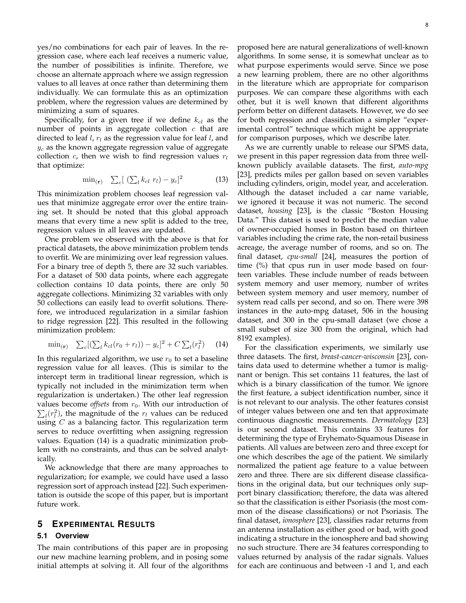yes/no combinations for each pair of leaves. In the regression case, where each leaf receives a numeric value, the number of possibilities is infinite. Therefore, we choose an alternate approach where we assign regression values to all leaves at once rather than determining them individually. We can formulate this as an optimization problem, where the regression values are determined by minimizing a sum of squares.

Specifically, for a given tree if we define  $k_{cl}$  as the number of points in aggregate collection  $c$  that are directed to leaf *l*,  $r_l$  as the regression value for leaf *l*, and  $y_c$  as the known aggregate regression value of aggregate collection c, then we wish to find regression values  $r_l$ that optimize:

$$
\min_{(\mathbf{r})} \quad \sum_{c} \left[ \left( \sum_{l} k_{cl} \; r_l \right) - y_c \right]^2 \tag{13}
$$

This minimization problem chooses leaf regression values that minimize aggregate error over the entire training set. It should be noted that this global approach means that every time a new split is added to the tree, regression values in all leaves are updated.

One problem we observed with the above is that for practical datasets, the above minimization problem tends to overfit. We are minimizing over leaf regression values. For a binary tree of depth 5, there are 32 such variables. For a dataset of 500 data points, where each aggregate collection contains 10 data points, there are only 50 aggregate collections. Minimizing 32 variables with only 50 collections can easily lead to overfit solutions. Therefore, we introduced regularization in a similar fashion to ridge regression [22]. This resulted in the following minimization problem:

$$
\min_{(\mathbf{r})} \quad \sum_{c} [(\sum_{l} k_{cl}(r_0 + r_l)) - y_c]^2 + C \sum_{l} (r_l^2) \tag{14}
$$

In this regularized algorithm, we use  $r_0$  to set a baseline regression value for all leaves. (This is similar to the intercept term in traditional linear regression, which is typically not included in the minimization term when regularization is undertaken.) The other leaf regression values become *offsets* from  $r_0$ . With our introduction of  $\sum_l(r_l^2)$ , the magnitude of the  $r_l$  values can be reduced using  $C$  as a balancing factor. This regularization term serves to reduce overfitting when assigning regression values. Equation (14) is a quadratic minimization problem with no constraints, and thus can be solved analytically.

We acknowledge that there are many approaches to regularization; for example, we could have used a lasso regression sort of approach instead [22]. Such experimentation is outside the scope of this paper, but is important future work.

## **5 EXPERIMENTAL RESULTS**

## **5.1 Overview**

The main contributions of this paper are in proposing our new machine learning problem, and in posing some initial attempts at solving it. All four of the algorithms proposed here are natural generalizations of well-known algorithms. In some sense, it is somewhat unclear as to what purpose experiments would serve. Since we pose a new learning problem, there are no other algorithms in the literature which are appropriate for comparison purposes. We can compare these algorithms with each other, but it is well known that different algorithms perform better on different datasets. However, we do see for both regression and classification a simpler "experimental control" technique which might be appropriate for comparison purposes, which we describe later.

As we are currently unable to release our SPMS data, we present in this paper regression data from three wellknown publicly available datasets. The first, *auto-mpg* [23], predicts miles per gallon based on seven variables including cylinders, origin, model year, and acceleration. Although the dataset included a car name variable, we ignored it because it was not numeric. The second dataset, *housing* [23], is the classic "Boston Housing Data." This dataset is used to predict the median value of owner-occupied homes in Boston based on thirteen variables including the crime rate, the non-retail business acreage, the average number of rooms, and so on. The final dataset, *cpu-small* [24], measures the portion of time (%) that cpus run in user mode based on fourteen variables. These include number of reads between system memory and user memory, number of writes between system memory and user memory, number of system read calls per second, and so on. There were 398 instances in the auto-mpg dataset, 506 in the housing dataset, and 300 in the cpu-small dataset (we chose a small subset of size 300 from the original, which had 8192 examples).

For the classification experiments, we similarly use three datasets. The first, *breast-cancer-wisconsin* [23], contains data used to determine whether a tumor is malignant or benign. This set contains 11 features, the last of which is a binary classification of the tumor. We ignore the first feature, a subject identification number, since it is not relevant to our analysis. The other features consist of integer values between one and ten that approximate continuous diagnostic measurements. *Dermatology* [23] is our second dataset. This contains 33 features for determining the type of Eryhemato-Squamous Disease in patients. All values are between zero and three except for one which describes the age of the patient. We similarly normalized the patient age feature to a value between zero and three. There are six different disease classifications in the original data, but our techniques only support binary classification; therefore, the data was altered so that the classification is either Psoriasis (the most common of the disease classifications) or not Psoriasis. The final dataset, *ionosphere* [23], classifies radar returns from an antenna installation as either good or bad, with good indicating a structure in the ionosphere and bad showing no such structure. There are 34 features corresponding to values returned by analysis of the radar signals. Values for each are continuous and between -1 and 1, and each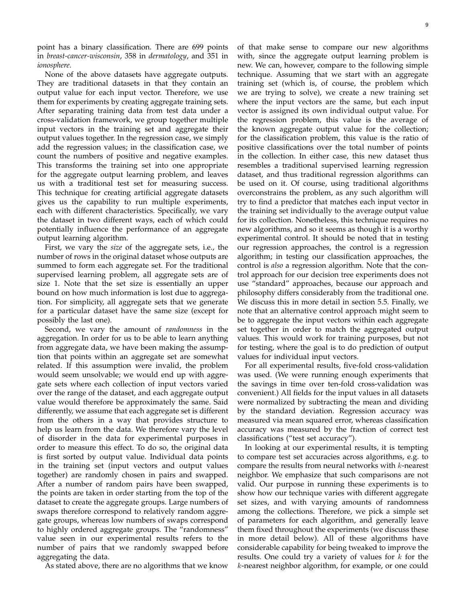point has a binary classification. There are 699 points in *breast-cancer-wisconsin*, 358 in *dermatology*, and 351 in *ionosphere*.

None of the above datasets have aggregate outputs. They are traditional datasets in that they contain an output value for each input vector. Therefore, we use them for experiments by creating aggregate training sets. After separating training data from test data under a cross-validation framework, we group together multiple input vectors in the training set and aggregate their output values together. In the regression case, we simply add the regression values; in the classification case, we count the numbers of positive and negative examples. This transforms the training set into one appropriate for the aggregate output learning problem, and leaves us with a traditional test set for measuring success. This technique for creating artificial aggregate datasets gives us the capability to run multiple experiments, each with different characteristics. Specifically, we vary the dataset in two different ways, each of which could potentially influence the performance of an aggregate output learning algorithm.

First, we vary the *size* of the aggregate sets, i.e., the number of rows in the original dataset whose outputs are summed to form each aggregate set. For the traditional supervised learning problem, all aggregate sets are of size 1. Note that the set size is essentially an upper bound on how much information is lost due to aggregation. For simplicity, all aggregate sets that we generate for a particular dataset have the same size (except for possibly the last one).

Second, we vary the amount of *randomness* in the aggregation. In order for us to be able to learn anything from aggregate data, we have been making the assumption that points within an aggregate set are somewhat related. If this assumption were invalid, the problem would seem unsolvable; we would end up with aggregate sets where each collection of input vectors varied over the range of the dataset, and each aggregate output value would therefore be approximately the same. Said differently, we assume that each aggregate set is different from the others in a way that provides structure to help us learn from the data. We therefore vary the level of disorder in the data for experimental purposes in order to measure this effect. To do so, the original data is first sorted by output value. Individual data points in the training set (input vectors and output values together) are randomly chosen in pairs and swapped. After a number of random pairs have been swapped, the points are taken in order starting from the top of the dataset to create the aggregate groups. Large numbers of swaps therefore correspond to relatively random aggregate groups, whereas low numbers of swaps correspond to highly ordered aggregate groups. The "randomness" value seen in our experimental results refers to the number of pairs that we randomly swapped before aggregating the data.

As stated above, there are no algorithms that we know

of that make sense to compare our new algorithms with, since the aggregate output learning problem is new. We can, however, compare to the following simple technique. Assuming that we start with an aggregate training set (which is, of course, the problem which we are trying to solve), we create a new training set where the input vectors are the same, but each input vector is assigned its own individual output value. For the regression problem, this value is the average of the known aggregate output value for the collection; for the classification problem, this value is the ratio of positive classifications over the total number of points in the collection. In either case, this new dataset thus resembles a traditional supervised learning regression dataset, and thus traditional regression algorithms can be used on it. Of course, using traditional algorithms overconstrains the problem, as any such algorithm will try to find a predictor that matches each input vector in the training set individually to the average output value for its collection. Nonetheless, this technique requires no new algorithms, and so it seems as though it is a worthy experimental control. It should be noted that in testing our regression approaches, the control is a regression algorithm; in testing our classification approaches, the control is *also* a regression algorithm. Note that the control approach for our decision tree experiments does not use "standard" approaches, because our approach and philosophy differs considerably from the traditional one. We discuss this in more detail in section 5.5. Finally, we note that an alternative control approach might seem to be to aggregate the input vectors within each aggregate set together in order to match the aggregated output values. This would work for training purposes, but not for testing, where the goal is to do prediction of output values for individual input vectors.

For all experimental results, five-fold cross-validation was used. (We were running enough experiments that the savings in time over ten-fold cross-validation was convenient.) All fields for the input values in all datasets were normalized by subtracting the mean and dividing by the standard deviation. Regression accuracy was measured via mean squared error, whereas classification accuracy was measured by the fraction of correct test classifications ("test set accuracy").

In looking at our experimental results, it is tempting to compare test set accuracies across algorithms, e.g. to compare the results from neural networks with k-nearest neighbor. We emphasize that such comparisons are not valid. Our purpose in running these experiments is to show how our technique varies with different aggregate set sizes, and with varying amounts of randomness among the collections. Therefore, we pick a simple set of parameters for each algorithm, and generally leave them fixed throughout the experiments (we discuss these in more detail below). All of these algorithms have considerable capability for being tweaked to improve the results. One could try a variety of values for  $k$  for the k-nearest neighbor algorithm, for example, or one could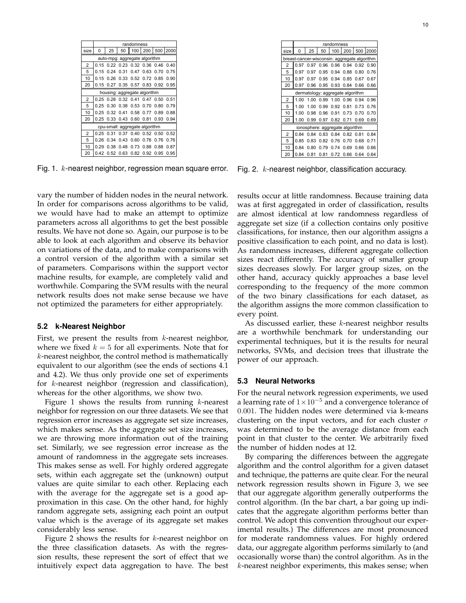|                | randomness                     |      |      |             |                              |      |      |  |
|----------------|--------------------------------|------|------|-------------|------------------------------|------|------|--|
| size           | 0                              | 25   | 50   | 100         | 200 500 2000                 |      |      |  |
|                | auto-mpg: aggregate algorithm  |      |      |             |                              |      |      |  |
| $\overline{2}$ | 0.15                           | 0.22 | 0.23 | 0.32        | 0.36                         | 0.46 | 0.40 |  |
| 5              | 0.15                           | 0.24 | 0.31 | 0.47        | 0.63                         | 0.70 | 0.75 |  |
| 10             | 0.15                           | 0.26 | 0.33 | 0.52        | 0.72                         | 0.85 | 0.90 |  |
| 20             | 0.15                           | 0.27 |      | $0.35$ 0.57 | 0.83                         | 0.92 | 0.95 |  |
|                |                                |      |      |             | housing: aggregate algorithm |      |      |  |
| $\overline{2}$ | 0.25                           | 0.28 | 0.32 | 0.41        | 047                          | 0.50 | 0.51 |  |
| 5              | 0.25                           | 0.30 | 0.38 | 0.53        | 0.70                         | 0.80 | 0.79 |  |
| 10             | 0.25                           | 0.32 | 0.41 | 0.58        | 0.77                         | 0.89 | 0.88 |  |
| 20             | 0.25                           | 0.33 | 0.43 | 0.60        | 0.81                         | 0.93 | 0.94 |  |
|                | cpu-small: aggregate algorithm |      |      |             |                              |      |      |  |
| $\overline{2}$ | 0.25                           | 0.31 | 0.37 | 0.40        | $0.52$ $0.50$                |      | 0.52 |  |
| 5              | 0.26                           | 0.34 | 0.43 | 0.60        | 0.76                         | 0.76 | 0.76 |  |
| 10             | 0.29                           | 0.38 | 0.48 | 0.73        | 0.88                         | 0.88 | 0.87 |  |
| 20             | 0.42                           | 0.52 | 0.63 | 0.82        | 0.92                         | 0.95 | 0.95 |  |

Fig. 1.  $k$ -nearest neighbor, regression mean square error.

vary the number of hidden nodes in the neural network. In order for comparisons across algorithms to be valid, we would have had to make an attempt to optimize parameters across all algorithms to get the best possible results. We have not done so. Again, our purpose is to be able to look at each algorithm and observe its behavior on variations of the data, and to make comparisons with a control version of the algorithm with a similar set of parameters. Comparisons within the support vector machine results, for example, are completely valid and worthwhile. Comparing the SVM results with the neural network results does not make sense because we have not optimized the parameters for either appropriately.

#### **5.2 k-Nearest Neighbor**

First, we present the results from  $k$ -nearest neighbor, where we fixed  $k = 5$  for all experiments. Note that for  $k$ -nearest neighbor, the control method is mathematically equivalent to our algorithm (see the ends of sections 4.1 and 4.2). We thus only provide one set of experiments for k-nearest neighbor (regression and classification), whereas for the other algorithms, we show two.

Figure 1 shows the results from running  $k$ -nearest neighbor for regression on our three datasets. We see that regression error increases as aggregate set size increases, which makes sense. As the aggregate set size increases, we are throwing more information out of the training set. Similarly, we see regression error increase as the amount of randomness in the aggregate sets increases. This makes sense as well. For highly ordered aggregate sets, within each aggregate set the (unknown) output values are quite similar to each other. Replacing each with the average for the aggregate set is a good approximation in this case. On the other hand, for highly random aggregate sets, assigning each point an output value which is the average of its aggregate set makes considerably less sense.

Figure 2 shows the results for  $k$ -nearest neighbor on the three classification datasets. As with the regression results, these represent the sort of effect that we intuitively expect data aggregation to have. The best

|                                              | randomness |                                  |                               |                  |      |      |      |  |
|----------------------------------------------|------------|----------------------------------|-------------------------------|------------------|------|------|------|--|
| size                                         | 0          | 25                               | 50                            | 100 200 500 2000 |      |      |      |  |
| breast-cancer-wisconsin: aggregate algorithm |            |                                  |                               |                  |      |      |      |  |
| 2                                            | 0.97       |                                  | 0.97 0.96 0.96 0.94 0.92 0.90 |                  |      |      |      |  |
| 5                                            | 0.97       |                                  | 0.97 0.95 0.94 0.88           |                  |      | 0.80 | 0.76 |  |
| 10                                           | 0.97       |                                  | 0.97 0.95 0.94                |                  | 0.85 | 0.67 | 0.67 |  |
| 20                                           | 0.97       |                                  | 0.96 0.95 0.93 0.84           |                  |      | 0.66 | 0.66 |  |
|                                              |            | dermatology: aggregate algorithm |                               |                  |      |      |      |  |
| $\overline{2}$                               | 1.00       |                                  | 1.00 0.99 1.00 0.96 0.94 0.96 |                  |      |      |      |  |
| 5                                            | 1.00       | 1.00                             |                               | 0.99 0.92 0.81   |      | 0.73 | 0.76 |  |
| 10                                           | 1.00       | 0.98                             | 0.96 0.91                     |                  | 0.73 | 0.70 | 0.70 |  |
| 20                                           | 1.00       |                                  | 0.99 0.97 0.82 0.71           |                  |      | 0.69 | 0.69 |  |
| ionosphere: aggregate algorithm              |            |                                  |                               |                  |      |      |      |  |
| $\overline{2}$                               | 0.84       |                                  | 0.84 0.83 0.84 0.82 0.81      |                  |      |      | 0.84 |  |
| 5                                            | 0.85       | 0.83                             | 0.82                          | 0.76             | 0.70 | 0.68 | 0.71 |  |
| 10                                           | 0.84       | 0.80                             | 0.79                          | 0.74             | 0.69 | 0.66 | 0.66 |  |
| 20                                           | 0.84       |                                  | 0.81 0.81 0.72 0.66           |                  |      | 0.64 | 0.64 |  |

Fig. 2. k-nearest neighbor, classification accuracy.

results occur at little randomness. Because training data was at first aggregated in order of classification, results are almost identical at low randomness regardless of aggregate set size (if a collection contains only positive classifications, for instance, then our algorithm assigns a positive classification to each point, and no data is lost). As randomness increases, different aggregate collection sizes react differently. The accuracy of smaller group sizes decreases slowly. For larger group sizes, on the other hand, accuracy quickly approaches a base level corresponding to the frequency of the more common of the two binary classifications for each dataset, as the algorithm assigns the more common classification to every point.

As discussed earlier, these k-nearest neighbor results are a worthwhile benchmark for understanding our experimental techniques, but it is the results for neural networks, SVMs, and decision trees that illustrate the power of our approach.

## **5.3 Neural Networks**

For the neural network regression experiments, we used a learning rate of  $1 \times 10^{-5}$  and a convergence tolerance of 0.001. The hidden nodes were determined via k-means clustering on the input vectors, and for each cluster  $\sigma$ was determined to be the average distance from each point in that cluster to the center. We arbitrarily fixed the number of hidden nodes at 12.

By comparing the differences between the aggregate algorithm and the control algorithm for a given dataset and technique, the patterns are quite clear. For the neural network regression results shown in Figure 3, we see that our aggregate algorithm generally outperforms the control algorithm. (In the bar chart, a bar going up indicates that the aggregate algorithm performs better than control. We adopt this convention throughout our experimental results.) The differences are most pronounced for moderate randomness values. For highly ordered data, our aggregate algorithm performs similarly to (and occasionally worse than) the control algorithm. As in the k-nearest neighbor experiments, this makes sense; when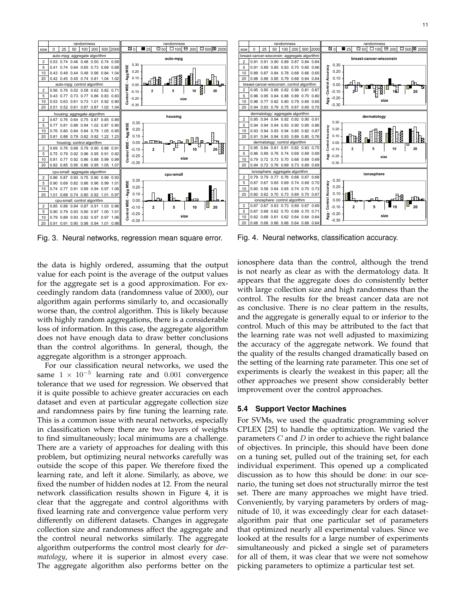

Fig. 3. Neural networks, regression mean square error.

the data is highly ordered, assuming that the output value for each point is the average of the output values for the aggregate set is a good approximation. For exceedingly random data (randomness value of 2000), our algorithm again performs similarly to, and occasionally worse than, the control algorithm. This is likely because with highly random aggregations, there is a considerable loss of information. In this case, the aggregate algorithm does not have enough data to draw better conclusions than the control algorithms. In general, though, the aggregate algorithm is a stronger approach.

For our classification neural networks, we used the same  $1 \times 10^{-5}$  learning rate and 0.001 convergence tolerance that we used for regression. We observed that it is quite possible to achieve greater accuracies on each dataset and even at particular aggregate collection size and randomness pairs by fine tuning the learning rate. This is a common issue with neural networks, especially in classification where there are two layers of weights to find simultaneously; local minimums are a challenge. There are a variety of approaches for dealing with this problem, but optimizing neural networks carefully was outside the scope of this paper. We therefore fixed the learning rate, and left it alone. Similarly, as above, we fixed the number of hidden nodes at 12. From the neural network classification results shown in Figure 4, it is clear that the aggregate and control algorithms with fixed learning rate and convergence value perform very differently on different datasets. Changes in aggregate collection size and randomness affect the aggregate and the control neural networks similarly. The aggregate algorithm outperforms the control most clearly for *dermatology*, where it is superior in almost every case. The aggregate algorithm also performs better on the



Fig. 4. Neural networks, classification accuracy.

ionosphere data than the control, although the trend is not nearly as clear as with the dermatology data. It appears that the aggregate does do consistently better with large collection size and high randomness than the control. The results for the breast cancer data are not as conclusive. There is no clear pattern in the results, and the aggregate is generally equal to or inferior to the control. Much of this may be attributed to the fact that the learning rate was not well adjusted to maximizing the accuracy of the aggregate network. We found that the quality of the results changed dramatically based on the setting of the learning rate parameter. This one set of experiments is clearly the weakest in this paper; all the other approaches we present show considerably better improvement over the control approaches.

#### **5.4 Support Vector Machines**

For SVMs, we used the quadratic programming solver CPLEX [25] to handle the optimization. We varied the parameters  $C$  and  $D$  in order to achieve the right balance of objectives. In principle, this should have been done on a tuning set, pulled out of the training set, for each individual experiment. This opened up a complicated discussion as to how this should be done: in our scenario, the tuning set does not structurally mirror the test set. There are many approaches we might have tried. Conveniently, by varying parameters by orders of magnitude of 10, it was exceedingly clear for each datasetalgorithm pair that one particular set of parameters that optimized nearly all experimental values. Since we looked at the results for a large number of experiments simultaneously and picked a single set of parameters for all of them, it was clear that we were not somehow picking parameters to optimize a particular test set.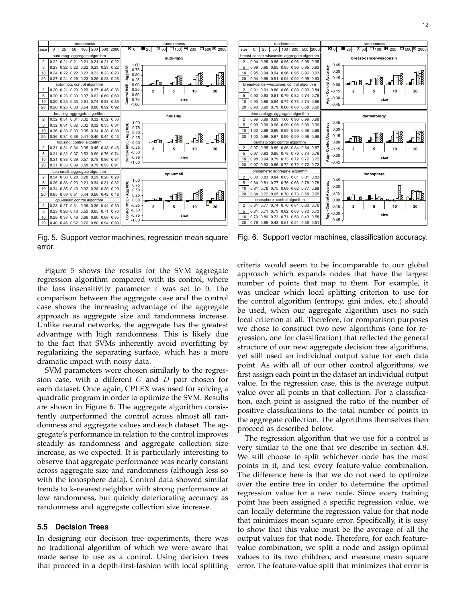

Fig. 5. Support vector machines, regression mean square error.

Figure 5 shows the results for the SVM aggregate regression algorithm compared with its control, where the loss insensitivity parameter  $\varepsilon$  was set to 0. The comparison between the aggregate case and the control case shows the increasing advantage of the aggregate approach as aggregate size and randomness increase. Unlike neural networks, the aggregate has the greatest advantage with high randomness. This is likely due to the fact that SVMs inherently avoid overfitting by regularizing the separating surface, which has a more dramatic impact with noisy data.

SVM parameters were chosen similarly to the regression case, with a different  $C$  and  $D$  pair chosen for each dataset. Once again, CPLEX was used for solving a quadratic program in order to optimize the SVM. Results are shown in Figure 6. The aggregate algorithm consistently outperformed the control across almost all randomness and aggregate values and each dataset. The aggregate's performance in relation to the control improves steadily as randomness and aggregate collection size increase, as we expected. It is particularly interesting to observe that aggregate performance was nearly constant across aggregate size and randomness (although less so with the ionosphere data). Control data showed similar trends to k-nearest neighbor with strong performance at low randomness, but quickly deteriorating accuracy as randomness and aggregate collection size increase.

## **5.5 Decision Trees**

In designing our decision tree experiments, there was no traditional algorithm of which we were aware that made sense to use as a control. Using decision trees that proceed in a depth-first-fashion with local splitting



Fig. 6. Support vector machines, classification accuracy.

criteria would seem to be incomparable to our global approach which expands nodes that have the largest number of points that map to them. For example, it was unclear which local splitting criterion to use for the control algorithm (entropy, gini index, etc.) should be used, when our aggregate algorithm uses no such local criterion at all. Therefore, for comparison purposes we chose to construct two new algorithms (one for regression, one for classification) that reflected the general structure of our new aggregate decision tree algorithms, yet still used an individual output value for each data point. As with all of our other control algorithms, we first assign each point in the dataset an individual output value. In the regression case, this is the average output value over all points in that collection. For a classification, each point is assigned the ratio of the number of positive classifications to the total number of points in the aggregate collection. The algorithms themselves then proceed as described below.

The regression algorithm that we use for a control is very similar to the one that we describe in section 4.8. We still choose to split whichever node has the most points in it, and test every feature-value combination. The difference here is that we do not need to optimize over the entire tree in order to determine the optimal regression value for a new node. Since every training point has been assigned a specific regression value, we can locally determine the regression value for that node that minimizes mean square error. Specifically, it is easy to show that this value must be the average of all the output values for that node. Therefore, for each featurevalue combination, we split a node and assign optimal values to its two children, and measure mean square error. The feature-value split that minimizes that error is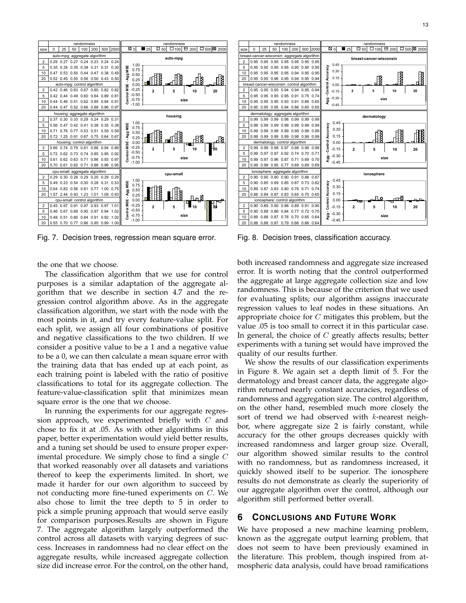

Fig. 7. Decision trees, regression mean square error.

the one that we choose.

The classification algorithm that we use for control purposes is a similar adaptation of the aggregate algorithm that we describe in section 4.7 and the regression control algorithm above. As in the aggregate classification algorithm, we start with the node with the most points in it, and try every feature-value split. For each split, we assign all four combinations of positive and negative classifications to the two children. If we consider a positive value to be a 1 and a negative value to be a 0, we can then calculate a mean square error with the training data that has ended up at each point, as each training point is labeled with the ratio of positive classifications to total for its aggregate collection. The feature-value-classification split that minimizes mean square error is the one that we choose.

In running the experiments for our aggregate regression approach, we experimented briefly with  $C$  and chose to fix it at .05. As with other algorithms in this paper, better experimentation would yield better results, and a tuning set should be used to ensure proper experimental procedure. We simply chose to find a single  $C$ that worked reasonably over all datasets and variations thereof to keep the experiments limited. In short, we made it harder for our own algorithm to succeed by not conducting more fine-tuned experiments on C. We also chose to limit the tree depth to 5 in order to pick a simple pruning approach that would serve easily for comparison purposes.Results are shown in Figure 7. The aggregate algorithm largely outperformed the control across all datasets with varying degrees of success. Increases in randomness had no clear effect on the aggregate results, while increased aggregate collection size did increase error. For the control, on the other hand,



Fig. 8. Decision trees, classification accuracy.

both increased randomness and aggregate size increased error. It is worth noting that the control outperformed the aggregate at large aggregate collection size and low randomness. This is because of the criterion that we used for evaluating splits; our algorithm assigns inaccurate regression values to leaf nodes in these situations. An appropriate choice for  $C$  mitigates this problem, but the value .05 is too small to correct it in this particular case. In general, the choice of  $C$  greatly affects results; better experiments with a tuning set would have improved the quality of our results further.

We show the results of our classification experiments in Figure 8. We again set a depth limit of 5. For the dermatology and breast cancer data, the aggregate algorithm returned nearly constant accuracies, regardless of randomness and aggregation size. The control algorithm, on the other hand, resembled much more closely the sort of trend we had observed with  $k$ -nearest neighbor, where aggregate size 2 is fairly constant, while accuracy for the other groups decreases quickly with increased randomness and larger group size. Overall, our algorithm showed similar results to the control with no randomness, but as randomness increased, it quickly showed itself to be superior. The ionosphere results do not demonstrate as clearly the superiority of our aggregate algorithm over the control, although our algorithm still performed better overall.

## **6 CONCLUSIONS AND FUTURE WORK**

We have proposed a new machine learning problem, known as the aggregate output learning problem, that does not seem to have been previously examined in the literature. This problem, though inspired from atmospheric data analysis, could have broad ramifications